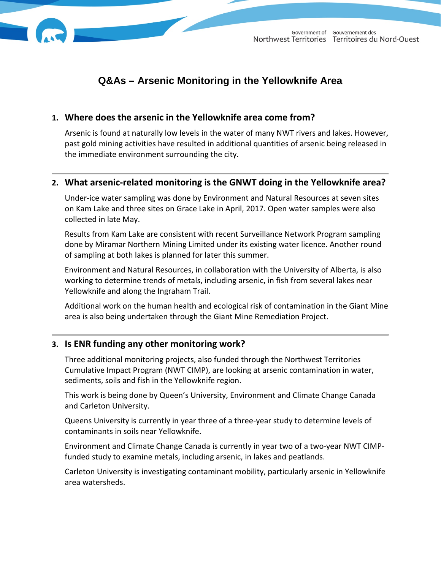

# **Q&As – Arsenic Monitoring in the Yellowknife Area**

# **1. Where does the arsenic in the Yellowknife area come from?**

Arsenic is found at naturally low levels in the water of many NWT rivers and lakes. However, past gold mining activities have resulted in additional quantities of arsenic being released in the immediate environment surrounding the city.

# **2. What arsenic-related monitoring is the GNWT doing in the Yellowknife area?**

Under-ice water sampling was done by Environment and Natural Resources at seven sites on Kam Lake and three sites on Grace Lake in April, 2017. Open water samples were also collected in late May.

Results from Kam Lake are consistent with recent Surveillance Network Program sampling done by Miramar Northern Mining Limited under its existing water licence. Another round of sampling at both lakes is planned for later this summer.

Environment and Natural Resources, in collaboration with the University of Alberta, is also working to determine trends of metals, including arsenic, in fish from several lakes near Yellowknife and along the Ingraham Trail.

Additional work on the human health and ecological risk of contamination in the Giant Mine area is also being undertaken through the Giant Mine Remediation Project.

# **3. Is ENR funding any other monitoring work?**

Three additional monitoring projects, also funded through the Northwest Territories Cumulative Impact Program (NWT CIMP), are looking at arsenic contamination in water, sediments, soils and fish in the Yellowknife region.

This work is being done by Queen's University, Environment and Climate Change Canada and Carleton University.

Queens University is currently in year three of a three-year study to determine levels of contaminants in soils near Yellowknife.

Environment and Climate Change Canada is currently in year two of a two-year NWT CIMPfunded study to examine metals, including arsenic, in lakes and peatlands.

Carleton University is investigating contaminant mobility, particularly arsenic in Yellowknife area watersheds.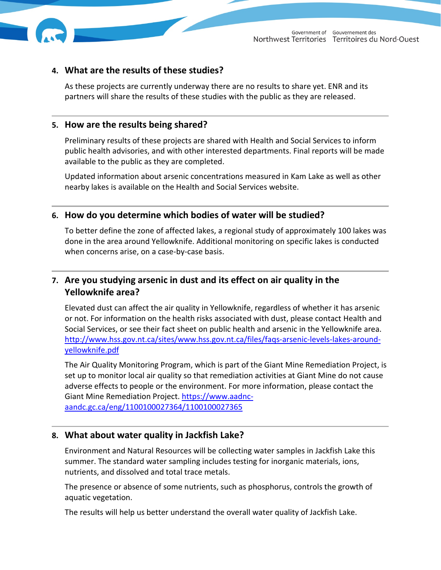

## **4. What are the results of these studies?**

As these projects are currently underway there are no results to share yet. ENR and its partners will share the results of these studies with the public as they are released.

#### **5. How are the results being shared?**

Preliminary results of these projects are shared with Health and Social Services to inform public health advisories, and with other interested departments. Final reports will be made available to the public as they are completed.

Updated information about arsenic concentrations measured in Kam Lake as well as other nearby lakes is available on the Health and Social Services website.

#### **6. How do you determine which bodies of water will be studied?**

To better define the zone of affected lakes, a regional study of approximately 100 lakes was done in the area around Yellowknife. Additional monitoring on specific lakes is conducted when concerns arise, on a case-by-case basis.

# **7. Are you studying arsenic in dust and its effect on air quality in the Yellowknife area?**

Elevated dust can affect the air quality in Yellowknife, regardless of whether it has arsenic or not. For information on the health risks associated with dust, please contact Health and Social Services, or see their fact sheet on public health and arsenic in the Yellowknife area. [http://www.hss.gov.nt.ca/sites/www.hss.gov.nt.ca/files/faqs-arsenic-levels-lakes-around](http://www.hss.gov.nt.ca/sites/www.hss.gov.nt.ca/files/faqs-arsenic-levels-lakes-around-yellowknife.pdf)[yellowknife.pdf](http://www.hss.gov.nt.ca/sites/www.hss.gov.nt.ca/files/faqs-arsenic-levels-lakes-around-yellowknife.pdf)

The Air Quality Monitoring Program, which is part of the Giant Mine Remediation Project, is set up to monitor local air quality so that remediation activities at Giant Mine do not cause adverse effects to people or the environment. For more information, please contact the Giant Mine Remediation Project. [https://www.aadnc](https://www.aadnc-aandc.gc.ca/eng/1100100027364/1100100027365)[aandc.gc.ca/eng/1100100027364/1100100027365](https://www.aadnc-aandc.gc.ca/eng/1100100027364/1100100027365)

#### **8. What about water quality in Jackfish Lake?**

Environment and Natural Resources will be collecting water samples in Jackfish Lake this summer. The standard water sampling includes testing for inorganic materials, ions, nutrients, and dissolved and total trace metals.

The presence or absence of some nutrients, such as phosphorus, controls the growth of aquatic vegetation.

The results will help us better understand the overall water quality of Jackfish Lake.